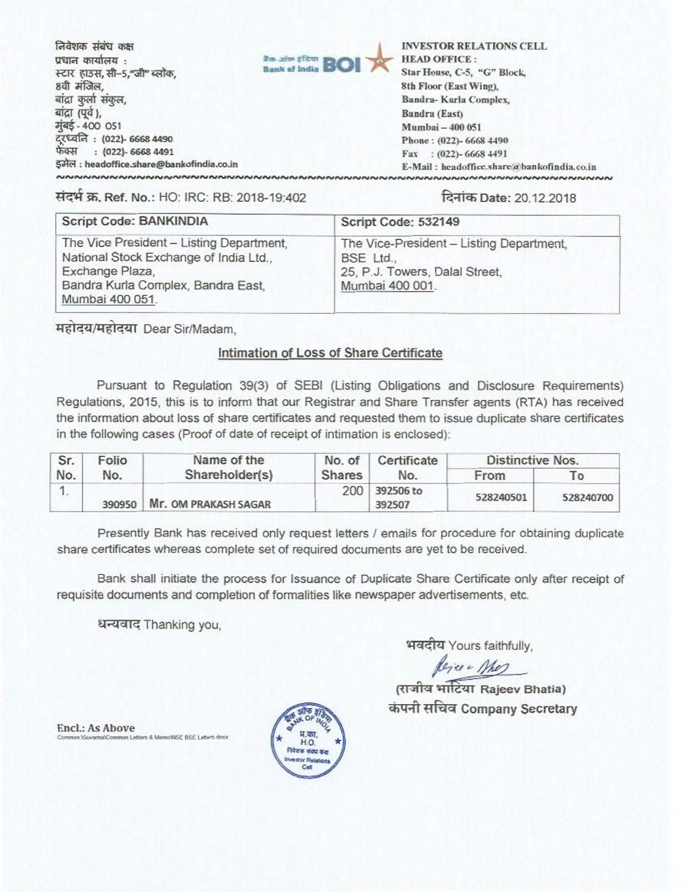निवेशक संबंध कक्ष प्रधान कार्यालय : स्टार हाउस, सी-5,"जी" ब्लॉक, 8वी मंजिल, बांद्रा कुर्ला संकुल, बांद्रा (पूर्व ), मुंबई - 400 051 दरध्वनि: (022)- 6668 4490 फेक्स : (022)- 6668 4491 इमेल: headoffice.share@bankofindia.co.in NNNNNNNNNNNNNNNNNNNNNNNNNNNNNNN



**INVESTOR RELATIONS CELL HEAD OFFICE:** Star House, C-5, "G" Block, 8th Floor (East Wing), Bandra-Kurla Complex, Bandra (East) Mumbai - 400 051 Phone: (022)-6668 4490 Fax: (022)-6668 4491 E-Mail: headoffice.share@bankofindia.co.in 

संदर्भ क्र. Ref. No.: HO: IRC: RB: 2018-19:402

## दिनांक Date: 20.12.2018

| Script Code: BANKINDIA                                                                                                                                         | Script Code: 532149                                                                                        |  |  |
|----------------------------------------------------------------------------------------------------------------------------------------------------------------|------------------------------------------------------------------------------------------------------------|--|--|
| The Vice President - Listing Department,<br>National Stock Exchange of India Ltd.,<br>Exchange Plaza,<br>Bandra Kurla Complex, Bandra East,<br>Mumbai 400 051. | The Vice-President - Listing Department,<br>BSE Ltd.,<br>25, P.J. Towers, Dalal Street,<br>Mumbai 400 001. |  |  |

महोदय/महोदया Dear Sir/Madam.

## Intimation of Loss of Share Certificate

Pursuant to Regulation 39(3) of SEBI (Listing Obligations and Disclosure Requirements) Regulations, 2015, this is to inform that our Registrar and Share Transfer agents (RTA) has received the information about loss of share certificates and requested them to issue duplicate share certificates in the following cases (Proof of date of receipt of intimation is enclosed):

| Sr. | Folio  | Name of the          | No. of | Certificate         |           | Distinctive Nos. |  |
|-----|--------|----------------------|--------|---------------------|-----------|------------------|--|
| No. | No.    | Shareholder(s)       | Shares | No.                 | From      | To               |  |
|     | 390950 | Mr. OM PRAKASH SAGAR | 200    | 392506 to<br>392507 | 528240501 | 528240700        |  |

Presently Bank has received only request letters / emails for procedure for obtaining duplicate share certificates whereas complete set of required documents are yet to be received.

Bank shall initiate the process for Issuance of Duplicate Share Certificate only after receipt of requisite documents and completion of formalities like newspaper advertisements, etc.

धन्यवाद Thanking you,

भवदीय Yours faithfully,

Rejer Mes

(राजीव भाटिया Rajeev Bhatia) कंपनी सचिव Company Secretary

**Encl.: As Above** rs & MemoUNSE BSE Letters dock